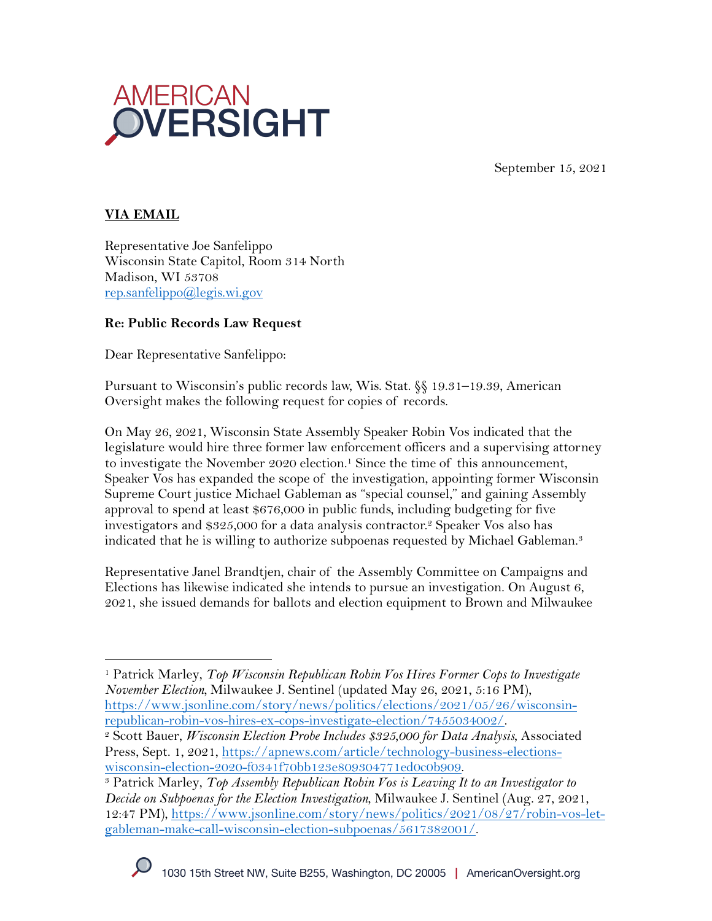

September 15, 2021

## **VIA EMAIL**

Representative Joe Sanfelippo Wisconsin State Capitol, Room 314 North Madison, WI 53708 rep.sanfelippo@legis.wi.gov

#### **Re: Public Records Law Request**

Dear Representative Sanfelippo:

Pursuant to Wisconsin's public records law, Wis. Stat. §§ 19.31–19.39, American Oversight makes the following request for copies of records.

On May 26, 2021, Wisconsin State Assembly Speaker Robin Vos indicated that the legislature would hire three former law enforcement officers and a supervising attorney to investigate the November 2020 election.<sup>1</sup> Since the time of this announcement, Speaker Vos has expanded the scope of the investigation, appointing former Wisconsin Supreme Court justice Michael Gableman as "special counsel," and gaining Assembly approval to spend at least \$676,000 in public funds, including budgeting for five investigators and \$325,000 for a data analysis contractor.2 Speaker Vos also has indicated that he is willing to authorize subpoenas requested by Michael Gableman.<sup>3</sup>

Representative Janel Brandtjen, chair of the Assembly Committee on Campaigns and Elections has likewise indicated she intends to pursue an investigation. On August 6, 2021, she issued demands for ballots and election equipment to Brown and Milwaukee

<sup>1</sup> Patrick Marley, *Top Wisconsin Republican Robin Vos Hires Former Cops to Investigate November Election,* Milwaukee J. Sentinel (updated May 26, 2021, 5:16 PM), https://www.jsonline.com/story/news/politics/elections/2021/05/26/wisconsin-

republican-robin-vos-hires-ex-cops-investigate-election/7455034002/. 2 Scott Bauer, *Wisconsin Election Probe Includes \$325,000 for Data Analysis*, Associated Press, Sept. 1, 2021, https://apnews.com/article/technology-business-elections-

wisconsin-election-2020-f0341f70bb123e809304771ed0c0b909.<br><sup>3</sup> Patrick Marley, *Top Assembly Republican Robin Vos is Leaving It to an Investigator to Decide on Subpoenas for the Election Investigation*, Milwaukee J. Sentinel (Aug. 27, 2021, 12:47 PM), https://www.jsonline.com/story/news/politics/2021/08/27/robin-vos-letgableman-make-call-wisconsin-election-subpoenas/5617382001/.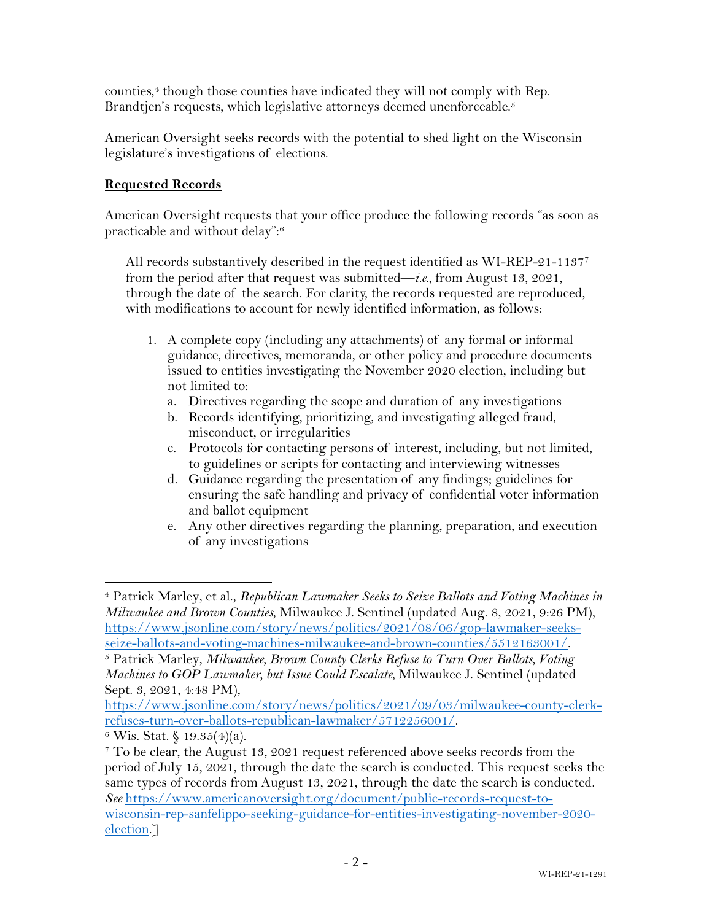counties,<sup>4</sup> though those counties have indicated they will not comply with Rep. Brandtjen's requests, which legislative attorneys deemed unenforceable.<sup>5</sup>

American Oversight seeks records with the potential to shed light on the Wisconsin legislature's investigations of elections.

# **Requested Records**

American Oversight requests that your office produce the following records "as soon as practicable and without delay": 6

All records substantively described in the request identified as WI-REP-21-11377 from the period after that request was submitted—*i.e.*, from August 13, 2021, through the date of the search. For clarity, the records requested are reproduced, with modifications to account for newly identified information, as follows:

- 1. A complete copy (including any attachments) of any formal or informal guidance, directives, memoranda, or other policy and procedure documents issued to entities investigating the November 2020 election, including but not limited to:
	- a. Directives regarding the scope and duration of any investigations
	- b. Records identifying, prioritizing, and investigating alleged fraud, misconduct, or irregularities
	- c. Protocols for contacting persons of interest, including, but not limited, to guidelines or scripts for contacting and interviewing witnesses
	- d. Guidance regarding the presentation of any findings; guidelines for ensuring the safe handling and privacy of confidential voter information and ballot equipment
	- e. Any other directives regarding the planning, preparation, and execution of any investigations

<sup>4</sup> Patrick Marley, et al., *Republican Lawmaker Seeks to Seize Ballots and Voting Machines in Milwaukee and Brown Counties*, Milwaukee J. Sentinel (updated Aug. 8, 2021, 9:26 PM), https://www.jsonline.com/story/news/politics/2021/08/06/gop-lawmaker-seeksseize-ballots-and-voting-machines-milwaukee-and-brown-counties/5512163001/. 5 Patrick Marley, *Milwaukee, Brown County Clerks Refuse to Turn Over Ballots, Voting* 

*Machines to GOP Lawmaker, but Issue Could Escalate*, Milwaukee J. Sentinel (updated Sept. 3, 2021, 4:48 PM),

https://www.jsonline.com/story/news/politics/2021/09/03/milwaukee-county-clerkrefuses-turn-over-ballots-republican-lawmaker/5712256001/.<br><sup>6</sup> Wis. Stat. § 19.35(4)(a).

<sup>7</sup> To be clear, the August 13, 2021 request referenced above seeks records from the period of July 15, 2021, through the date the search is conducted. This request seeks the same types of records from August 13, 2021, through the date the search is conducted. *See* https://www.americanoversight.org/document/public-records-request-towisconsin-rep-sanfelippo-seeking-guidance-for-entities-investigating-november-2020 election.]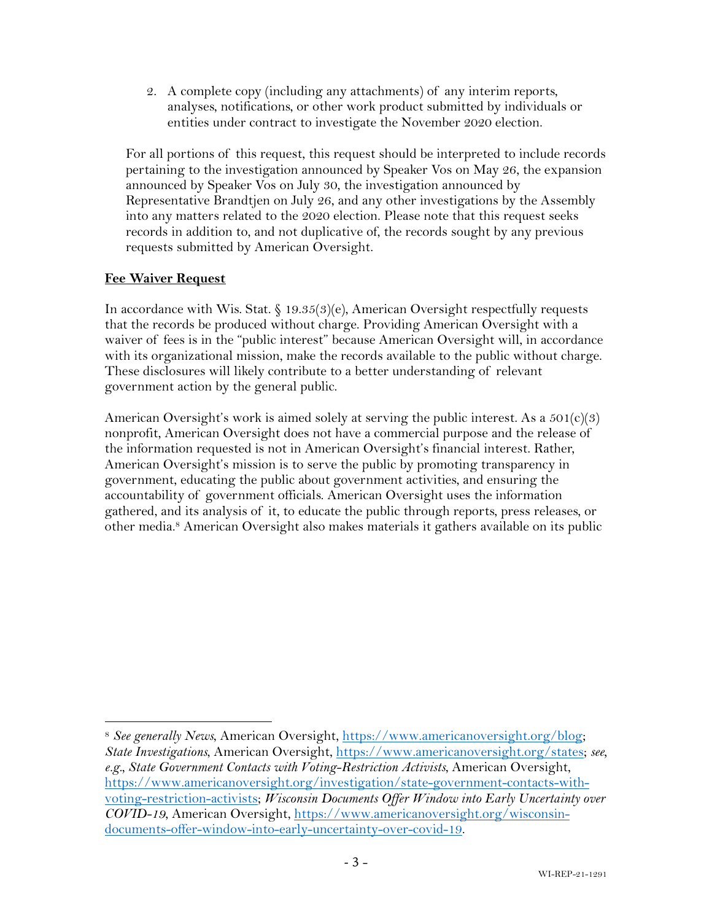2. A complete copy (including any attachments) of any interim reports, analyses, notifications, or other work product submitted by individuals or entities under contract to investigate the November 2020 election.

For all portions of this request, this request should be interpreted to include records pertaining to the investigation announced by Speaker Vos on May 26, the expansion announced by Speaker Vos on July 30, the investigation announced by Representative Brandtjen on July 26, and any other investigations by the Assembly into any matters related to the 2020 election. Please note that this request seeks records in addition to, and not duplicative of, the records sought by any previous requests submitted by American Oversight.

### **Fee Waiver Request**

In accordance with Wis. Stat. § 19.35(3)(e), American Oversight respectfully requests that the records be produced without charge. Providing American Oversight with a waiver of fees is in the "public interest" because American Oversight will, in accordance with its organizational mission, make the records available to the public without charge. These disclosures will likely contribute to a better understanding of relevant government action by the general public.

American Oversight's work is aimed solely at serving the public interest. As a  $501(c)(3)$ nonprofit, American Oversight does not have a commercial purpose and the release of the information requested is not in American Oversight's financial interest. Rather, American Oversight's mission is to serve the public by promoting transparency in government, educating the public about government activities, and ensuring the accountability of government officials. American Oversight uses the information gathered, and its analysis of it, to educate the public through reports, press releases, or other media.<sup>8</sup> American Oversight also makes materials it gathers available on its public

<sup>8</sup> *See generally News*, American Oversight, https://www.americanoversight.org/blog; *State Investigations*, American Oversight, https://www.americanoversight.org/states; *see, e.g., State Government Contacts with Voting-Restriction Activists*, American Oversight, https://www.americanoversight.org/investigation/state-government-contacts-withvoting-restriction-activists; *Wisconsin Documents Offer Window into Early Uncertainty over COVID-19*, American Oversight, https://www.americanoversight.org/wisconsindocuments-offer-window-into-early-uncertainty-over-covid-19.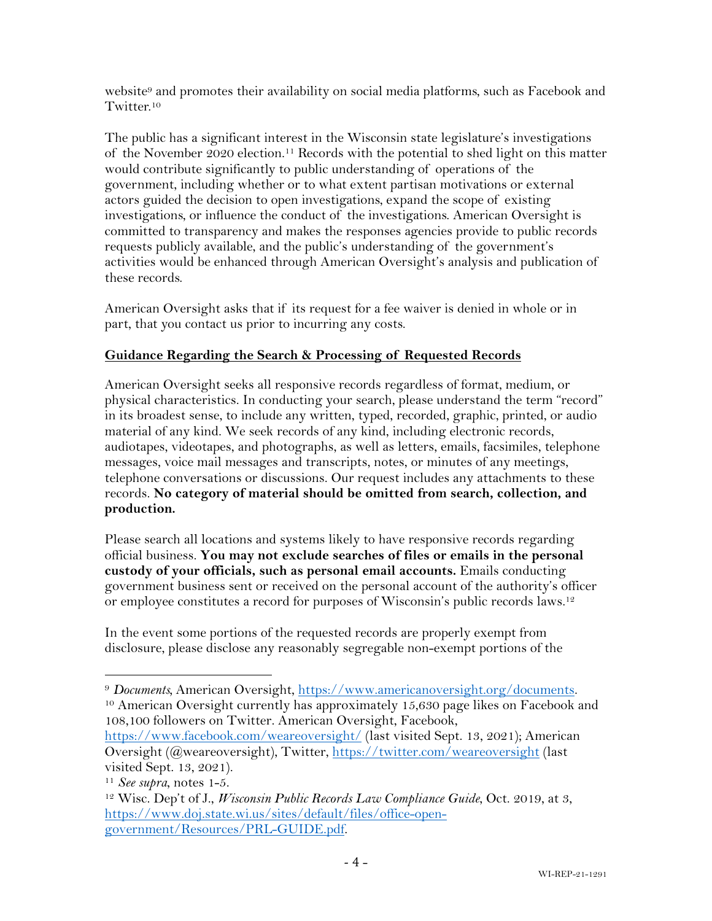website<sup>9</sup> and promotes their availability on social media platforms, such as Facebook and Twitter.10

The public has a significant interest in the Wisconsin state legislature's investigations of the November 2020 election. <sup>11</sup> Records with the potential to shed light on this matter would contribute significantly to public understanding of operations of the government, including whether or to what extent partisan motivations or external actors guided the decision to open investigations, expand the scope of existing investigations, or influence the conduct of the investigations. American Oversight is committed to transparency and makes the responses agencies provide to public records requests publicly available, and the public's understanding of the government's activities would be enhanced through American Oversight's analysis and publication of these records.

American Oversight asks that if its request for a fee waiver is denied in whole or in part, that you contact us prior to incurring any costs.

## **Guidance Regarding the Search & Processing of Requested Records**

American Oversight seeks all responsive records regardless of format, medium, or physical characteristics. In conducting your search, please understand the term "record" in its broadest sense, to include any written, typed, recorded, graphic, printed, or audio material of any kind. We seek records of any kind, including electronic records, audiotapes, videotapes, and photographs, as well as letters, emails, facsimiles, telephone messages, voice mail messages and transcripts, notes, or minutes of any meetings, telephone conversations or discussions. Our request includes any attachments to these records. **No category of material should be omitted from search, collection, and production.**

Please search all locations and systems likely to have responsive records regarding official business. **You may not exclude searches of files or emails in the personal custody of your officials, such as personal email accounts.** Emails conducting government business sent or received on the personal account of the authority's officer or employee constitutes a record for purposes of Wisconsin's public records laws.12

In the event some portions of the requested records are properly exempt from disclosure, please disclose any reasonably segregable non-exempt portions of the

108,100 followers on Twitter. American Oversight, Facebook,

<sup>9</sup> *Documents,* American Oversight, https://www.americanoversight.org/documents. <sup>10</sup> American Oversight currently has approximately 15,630 page likes on Facebook and

https://www.facebook.com/weareoversight/ (last visited Sept. 13, 2021); American Oversight (@weareoversight), Twitter, https://twitter.com/weareoversight (last

visited Sept. 13, 2021).<br><sup>11</sup> See supra, notes 1-5.

<sup>&</sup>lt;sup>12</sup> Wisc. Dep't of J., *Wisconsin Public Records Law Compliance Guide*, Oct. 2019, at 3, https://www.doj.state.wi.us/sites/default/files/office-opengovernment/Resources/PRL-GUIDE.pdf.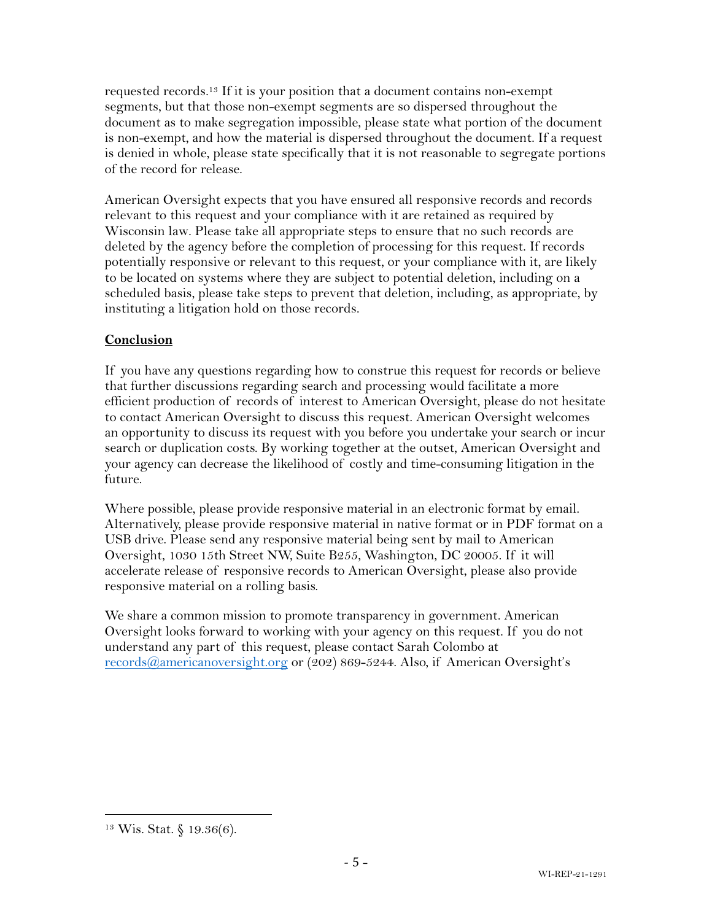requested records.13 If it is your position that a document contains non-exempt segments, but that those non-exempt segments are so dispersed throughout the document as to make segregation impossible, please state what portion of the document is non-exempt, and how the material is dispersed throughout the document. If a request is denied in whole, please state specifically that it is not reasonable to segregate portions of the record for release.

American Oversight expects that you have ensured all responsive records and records relevant to this request and your compliance with it are retained as required by Wisconsin law. Please take all appropriate steps to ensure that no such records are deleted by the agency before the completion of processing for this request. If records potentially responsive or relevant to this request, or your compliance with it, are likely to be located on systems where they are subject to potential deletion, including on a scheduled basis, please take steps to prevent that deletion, including, as appropriate, by instituting a litigation hold on those records.

## **Conclusion**

If you have any questions regarding how to construe this request for records or believe that further discussions regarding search and processing would facilitate a more efficient production of records of interest to American Oversight, please do not hesitate to contact American Oversight to discuss this request. American Oversight welcomes an opportunity to discuss its request with you before you undertake your search or incur search or duplication costs. By working together at the outset, American Oversight and your agency can decrease the likelihood of costly and time-consuming litigation in the future.

Where possible, please provide responsive material in an electronic format by email. Alternatively, please provide responsive material in native format or in PDF format on a USB drive. Please send any responsive material being sent by mail to American Oversight, 1030 15th Street NW, Suite B255, Washington, DC 20005. If it will accelerate release of responsive records to American Oversight, please also provide responsive material on a rolling basis.

We share a common mission to promote transparency in government. American Oversight looks forward to working with your agency on this request. If you do not understand any part of this request, please contact Sarah Colombo at records@americanoversight.org or (202) 869-5244. Also, if American Oversight's

<sup>13</sup> Wis. Stat. § 19.36(6).